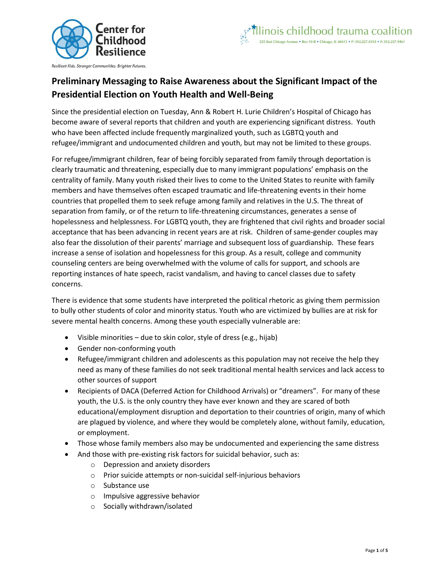

# **Preliminary Messaging to Raise Awareness about the Significant Impact of the Presidential Election on Youth Health and Well-Being**

Since the presidential election on Tuesday, Ann & Robert H. Lurie Children's Hospital of Chicago has become aware of several reports that children and youth are experiencing significant distress. Youth who have been affected include frequently marginalized youth, such as LGBTQ youth and refugee/immigrant and undocumented children and youth, but may not be limited to these groups.

For refugee/immigrant children, fear of being forcibly separated from family through deportation is clearly traumatic and threatening, especially due to many immigrant populations' emphasis on the centrality of family. Many youth risked their lives to come to the United States to reunite with family members and have themselves often escaped traumatic and life-threatening events in their home countries that propelled them to seek refuge among family and relatives in the U.S. The threat of separation from family, or of the return to life-threatening circumstances, generates a sense of hopelessness and helplessness. For LGBTQ youth, they are frightened that civil rights and broader social acceptance that has been advancing in recent years are at risk. Children of same-gender couples may also fear the dissolution of their parents' marriage and subsequent loss of guardianship. These fears increase a sense of isolation and hopelessness for this group. As a result, college and community counseling centers are being overwhelmed with the volume of calls for support, and schools are reporting instances of hate speech, racist vandalism, and having to cancel classes due to safety concerns.

There is evidence that some students have interpreted the political rhetoric as giving them permission to bully other students of color and minority status. Youth who are victimized by bullies are at risk for severe mental health concerns. Among these youth especially vulnerable are:

- Visible minorities due to skin color, style of dress (e.g., hijab)
- Gender non-conforming youth
- Refugee/immigrant children and adolescents as this population may not receive the help they need as many of these families do not seek traditional mental health services and lack access to other sources of support
- Recipients of DACA (Deferred Action for Childhood Arrivals) or "dreamers". For many of these youth, the U.S. is the only country they have ever known and they are scared of both educational/employment disruption and deportation to their countries of origin, many of which are plagued by violence, and where they would be completely alone, without family, education, or employment.
- Those whose family members also may be undocumented and experiencing the same distress
- And those with pre-existing risk factors for suicidal behavior, such as:
	- o Depression and anxiety disorders
	- o Prior suicide attempts or non-suicidal self-injurious behaviors
	- o Substance use
	- o Impulsive aggressive behavior
	- o Socially withdrawn/isolated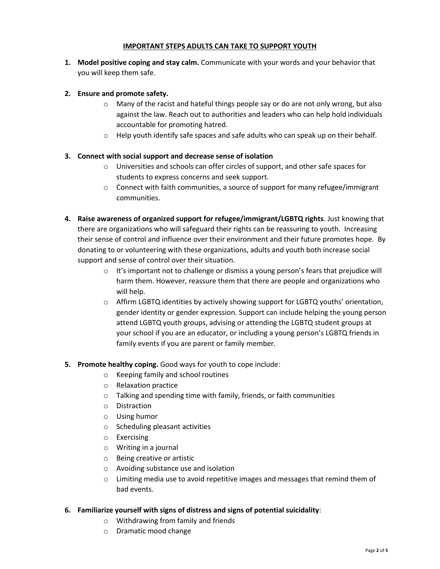#### **IMPORTANT STEPS ADULTS CAN TAKE TO SUPPORT YOUTH**

**1. Model positive coping and stay calm.** Communicate with your words and your behavior that you will keep them safe.

### **2. Ensure and promote safety.**

- $\circ$  Many of the racist and hateful things people say or do are not only wrong, but also against the law. Reach out to authorities and leaders who can help hold individuals accountable for promoting hatred.
- $\circ$  Help youth identify safe spaces and safe adults who can speak up on their behalf.

#### **3. Connect with social support and decrease sense of isolation**

- o Universities and schools can offer circles of support, and other safe spaces for students to express concerns and seek support.
- $\circ$  Connect with faith communities, a source of support for many refugee/immigrant communities.
- **4. Raise awareness of organized support for refugee/immigrant/LGBTQ rights**. Just knowing that there are organizations who will safeguard their rights can be reassuring to youth. Increasing their sense of control and influence over their environment and their future promotes hope. By donating to or volunteering with these organizations, adults and youth both increase social support and sense of control over their situation.
	- $\circ$  It's important not to challenge or dismiss a young person's fears that prejudice will harm them. However, reassure them that there are people and organizations who will help.
	- o Affirm LGBTQ identities by actively showing support for LGBTQ youths' orientation, gender identity or gender expression. Support can include helping the young person attend LGBTQ youth groups, advising or attending the LGBTQ student groups at your school if you are an educator, or including a young person's LGBTQ friends in family events if you are parent or family member.

#### **5. Promote healthy coping.** Good ways for youth to cope include:

- o Keeping family and school routines
- o Relaxation practice
- o Talking and spending time with family, friends, or faith communities
- o Distraction
- o Using humor
- o Scheduling pleasant activities
- o Exercising
- o Writing in a journal
- o Being creative or artistic
- o Avoiding substance use and isolation
- $\circ$  Limiting media use to avoid repetitive images and messages that remind them of bad events.

#### **6. Familiarize yourself with signs of distress and signs of potential suicidality**:

- o Withdrawing from family and friends
- o Dramatic mood change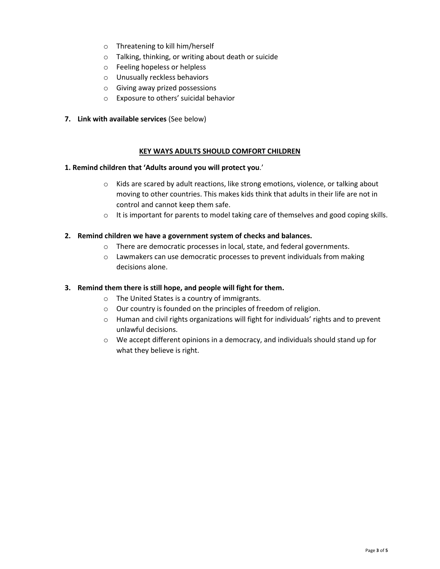- o Threatening to kill him/herself
- o Talking, thinking, or writing about death or suicide
- o Feeling hopeless or helpless
- o Unusually reckless behaviors
- o Giving away prized possessions
- o Exposure to others' suicidal behavior
- **7. Link with available services** (See below)

#### **KEY WAYS ADULTS SHOULD COMFORT CHILDREN**

#### **1. Remind children that 'Adults around you will protect you**.'

- o Kids are scared by adult reactions, like strong emotions, violence, or talking about moving to other countries. This makes kids think that adults in their life are not in control and cannot keep them safe.
- $\circ$  It is important for parents to model taking care of themselves and good coping skills.

#### **2. Remind children we have a government system of checks and balances.**

- o There are democratic processes in local, state, and federal governments.
- o Lawmakers can use democratic processes to prevent individuals from making decisions alone.

#### **3. Remind them there is still hope, and people will fight for them.**

- o The United States is a country of immigrants.
- o Our country is founded on the principles of freedom of religion.
- o Human and civil rights organizations will fight for individuals' rights and to prevent unlawful decisions.
- o We accept different opinions in a democracy, and individuals should stand up for what they believe is right.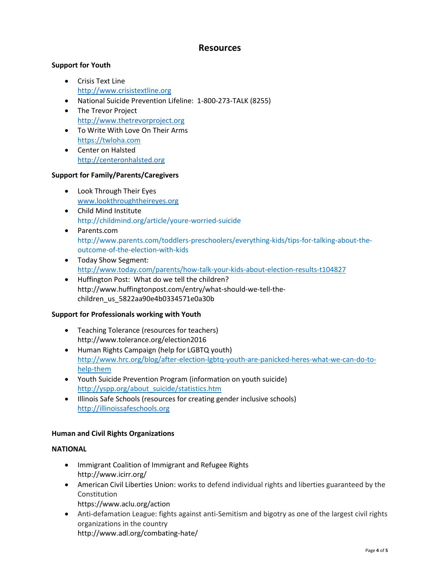## **Resources**

## **Support for Youth**

- Crisis Text Line [http://www.crisistextline.org](http://www.crisistextline.org/)
- National Suicide Prevention Lifeline: 1-800-273-TALK (8255)
- The Trevor Project [http://www.thetrevorproject.org](http://www.thetrevorproject.org/)
- To Write With Love On Their Arms [https://twloha.com](https://twloha.com/)
- Center on Halsted [http://centeronhalsted.org](http://centeronhalsted.org/)

#### **Support for Family/Parents/Caregivers**

- Look Through Their Eyes [www.lookthroughtheireyes.org](file:///C:/Users/rfordpaz/AppData/Local/Microsoft/Windows/Temporary%20Internet%20Files/Content.Outlook/TDBWQJUU/www.lookthroughtheireyes.org)
- Child Mind Institute http://childmind.org/article/youre-worried-suicide
- Parents.com http://www.parents.com/toddlers-preschoolers/everything-kids/tips-for-talking-about-theoutcome-of-the-election-with-kids
- Today Show Segment: <http://www.today.com/parents/how-talk-your-kids-about-election-results-t104827>
- Huffington Post: What do we tell the children? http://www.huffingtonpost.com/entry/what-should-we-tell-thechildren\_us\_5822aa90e4b0334571e0a30b

## **Support for Professionals working with Youth**

- Teaching Tolerance (resources for teachers) http://www.tolerance.org/election2016
- Human Rights Campaign (help for LGBTQ youth) http://www.hrc.org/blog/after-election-lgbtq-youth-are-panicked-heres-what-we-can-do-tohelp-them
- Youth Suicide Prevention Program (information on youth suicide) [http://yspp.org/about\\_suicide/statistics.htm](http://yspp.org/about_suicide/statistics.htm)
- Illinois Safe Schools (resources for creating gender inclusive schools) [http://illinoissafeschools.org](http://illinoissafeschools.org/)

## **Human and Civil Rights Organizations**

## **NATIONAL**

- Immigrant Coalition of Immigrant and Refugee Rights http://www.icirr.org/
- American Civil Liberties Union: works to defend individual rights and liberties guaranteed by the Constitution
	- https://www.aclu.org/action
- Anti-defamation League: fights against anti-Semitism and bigotry as one of the largest civil rights organizations in the country http://www.adl.org/combating-hate/